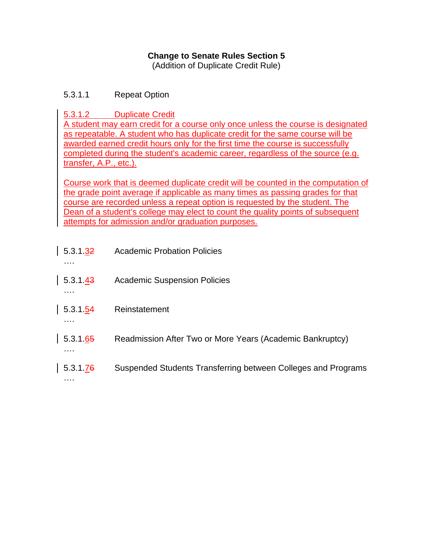### **Change to Senate Rules Section 5**

(Addition of Duplicate Credit Rule)

### 5.3.1.1 Repeat Option

5.3.1.2 Duplicate Credit

A student may earn credit for a course only once unless the course is designated as repeatable. A student who has duplicate credit for the same course will be awarded earned credit hours only for the first time the course is successfully completed during the student's academic career, regardless of the source (e.g. transfer, A.P., etc.).

Course work that is deemed duplicate credit will be counted in the computation of the grade point average if applicable as many times as passing grades for that course are recorded unless a repeat option is requested by the student. The Dean of a student's college may elect to count the quality points of subsequent attempts for admission and/or graduation purposes.

| 5.3.1.32<br>. | Academic Probation Policies                                   |
|---------------|---------------------------------------------------------------|
| 5.3.1.43      | <b>Academic Suspension Policies</b>                           |
| 5.3.1.54<br>. | Reinstatement                                                 |
| 5.3.1.65<br>. | Readmission After Two or More Years (Academic Bankruptcy)     |
| 5.3.1.76<br>. | Suspended Students Transferring between Colleges and Programs |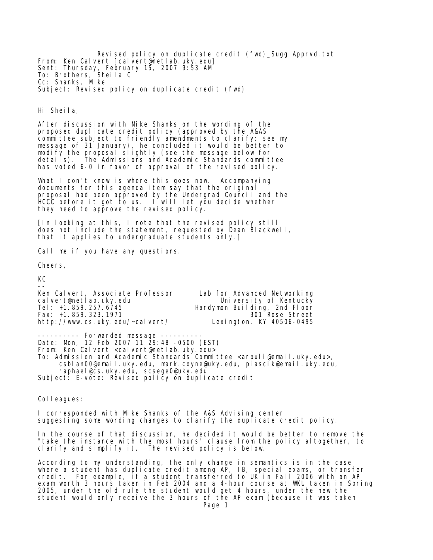Revised policy on duplicate credit (fwd)\_Sugg Apprvd.txt From: Ken Calvert [calvert@netlab.uky.edu] Sent: Thursday, February 15, 2007 9:53 AM To: Brothers, Sheila C Cc: Shanks, Mike Subject: Revised policy on duplicate credit (fwd)

Hi Sheila,

After discussion with Mike Shanks on the wording of the proposed duplicate credit policy (approved by the A&AS committee subject to friendly amendments to clarify; see my message of 31 January), he concluded it would be better to modify the proposal slightly (see the message below for details). The Admissions and Academic Standards committee has voted 6-0 in favor of approval of the revised policy.

What I don't know is where this goes now. Accompanying documents for this agenda item say that the original proposal had been approved by the Undergrad Council and the HCCC before it got to us. I will let you decide whether they need to approve the revised policy.

[In looking at this, I note that the revised policy still does not include the statement, requested by Dean Blackwell, that it applies to undergraduate students only.]

Call me if you have any questions.

Cheers,

KC

-- Ken Calvert, Associate Professor Lab for Advanced Networking cal vert@netlab.uky.edu<br>Tel: +1.859.257.6745 Hardymon Building, 2nd Floor<br>301 Rose Street Fax: +1.859.323.1971 301 Rose Street http://www.cs.uky.edu/~calvert/

---------- Forwarded message ---------- Date: Mon, 12 Feb 2007 11:29:48 -0500 (EST) From: Ken Calvert <calvert@netlab.uky.edu> To: Admission and Academic Standards Committee <arpuli@email.uky.edu>, csblan00@email.uky.edu, mark.coyne@uky.edu, piascik@email.uky.edu, raphael@cs.uky.edu, scsege0@uky.edu Subject: E-vote: Revised policy on duplicate credit

Colleagues:

I corresponded with Mike Shanks of the A&S Advising center suggesting some wording changes to clarify the duplicate credit policy.

In the course of that discussion, he decided it would be better to remove the "take the instance with the most hours" clause from the policy altogether, to clarify and simplify it. The revised policy is below.

According to my understanding, the only change in semantics is in the case where a student has duplicate credit among AP, IB, special exams, or transfer credit. For example, if a student transferred to UK in Fall 2006 with an AP exam worth 3 hours taken in Feb 2004 and a 4-hour course at WKU taken in Spring 2005, under the old rule the student would get 4 hours, under the new the student would only receive the 3 hours of the AP exam (because it was taken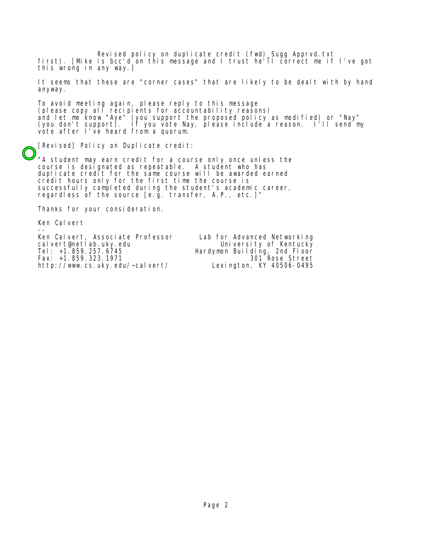Revised policy on duplicate credit (fwd)\_Sugg Apprvd.txt first). [Mike is bcc'd on this message and I trust he'll correct me if I've got this wrong in any way.]

It seems that these are "corner cases" that are likely to be dealt with by hand anyway.

To avoid meeting again, please reply to this message (please copy all recipients for accountability reasons) and let me know "Aye" (you support the proposed policy as modified) or "Nay" (you don't support). If you vote Nay, please include a reason. I'll send my vote after I've heard from a quorum.

[Revised] Policy on Duplicate credit:

"A student may earn credit for a course only once unless the course is designated as repeatable. A student who has duplicate credit for the same course will be awarded earned credit hours only for the first time the course is successfully completed during the student's academic career, regardless of the source [e.g. transfer, A.P., etc.]"

Thanks for your consideration.

Ken Calvert

-- Ken Calvert, Associate Professor Lab for Advanced Networking Tel: +1.859.257.6745 Hardymon Building, 2nd Floor<br>Fax: +1.859.323.1971 1879.000 1889.323.1971 Fax: +1.859.323.1971 301 Rose Street http://www.cs.uky.edu/~calvert/

University of Kentucky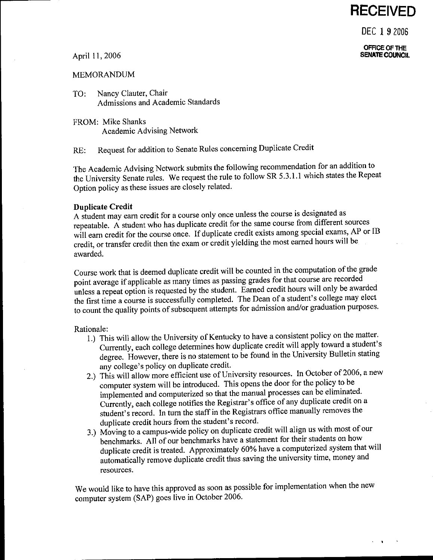### **RECEIVED**

DEC 192006

OFFICE OF THE **SENATE COUNCIL** 

### April 11, 2006

### **MEMORANDUM**

- Nancy Clauter, Chair TO: Admissions and Academic Standards
- FROM: Mike Shanks Academic Advising Network

Request for addition to Senate Rules concerning Duplicate Credit  $RE:$ 

The Academic Advising Network submits the following recommendation for an addition to the University Senate rules. We request the rule to follow SR 5.3.1.1 which states the Repeat Option policy as these issues are closely related.

### **Duplicate Credit**

A student may earn credit for a course only once unless the course is designated as repeatable. A student who has duplicate credit for the same course from different sources will earn credit for the course once. If duplicate credit exists among special exams, AP or IB credit, or transfer credit then the exam or credit yielding the most earned hours will be awarded.

Course work that is deemed duplicate credit will be counted in the computation of the grade point average if applicable as many times as passing grades for that course are recorded unless a repeat option is requested by the student. Earned credit hours will only be awarded the first time a course is successfully completed. The Dean of a student's college may elect to count the quality points of subsequent attempts for admission and/or graduation purposes.

### Rationale:

- 1.) This will allow the University of Kentucky to have a consistent policy on the matter. Currently, each college determines how duplicate credit will apply toward a student's degree. However, there is no statement to be found in the University Bulletin stating any college's policy on duplicate credit.
- 2.) This will allow more efficient use of University resources. In October of 2006, a new computer system will be introduced. This opens the door for the policy to be implemented and computerized so that the manual processes can be eliminated. Currently, each college notifies the Registrar's office of any duplicate credit on a student's record. In turn the staff in the Registrars office manually removes the duplicate credit hours from the student's record.
- 3.) Moving to a campus-wide policy on duplicate credit will align us with most of our benchmarks. All of our benchmarks have a statement for their students on how duplicate credit is treated. Approximately 60% have a computerized system that will automatically remove duplicate credit thus saving the university time, money and resources.

We would like to have this approved as soon as possible for implementation when the new computer system (SAP) goes live in October 2006.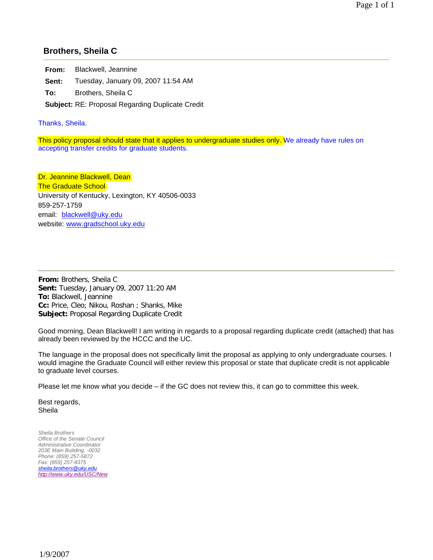### **Brothers, Sheila C**

**From:** Blackwell, Jeannine

**Sent:** Tuesday, January 09, 2007 11:54 AM

**To:** Brothers, Sheila C

**Subject:** RE: Proposal Regarding Duplicate Credit

Thanks, Sheila.

This policy proposal should state that it applies to undergraduate studies only. We already have rules on accepting transfer credits for graduate students.

Dr. Jeannine Blackwell, Dean **The Graduate School** University of Kentucky, Lexington, KY 40506-0033 859-257-1759 email: blackwell@uky.edu website: www.gradschool.uky.edu

**From:** Brothers, Sheila C **Sent:** Tuesday, January 09, 2007 11:20 AM **To:** Blackwell, Jeannine **Cc:** Price, Cleo; Nikou, Roshan ; Shanks, Mike **Subject:** Proposal Regarding Duplicate Credit

Good morning, Dean Blackwell! I am writing in regards to a proposal regarding duplicate credit (attached) that has already been reviewed by the HCCC and the UC.

The language in the proposal does not specifically limit the proposal as applying to only undergraduate courses. I would imagine the Graduate Council will either review this proposal or state that duplicate credit is not applicable to graduate level courses.

Please let me know what you decide – if the GC does not review this, it can go to committee this week.

Best regards, Sheila

*Sheila Brothers Office of the Senate Council Administrative Coordinator 203E Main Building, -0032 Phone: (859) 257-5872 Fax: (859) 257-8375 sheila.brothers@uky.edu http://www.uky.edu/USC/New*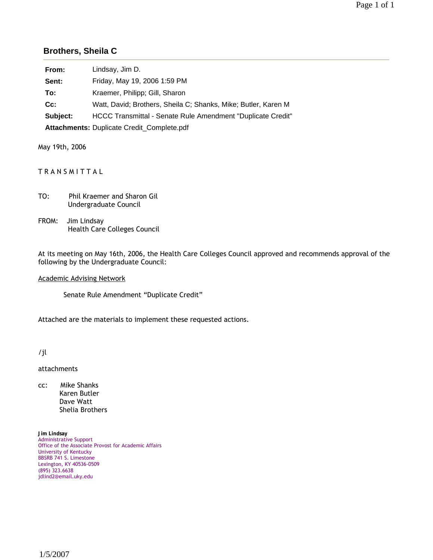### **Brothers, Sheila C**

| From:    | Lindsay, Jim D.                                                |
|----------|----------------------------------------------------------------|
| Sent:    | Friday, May 19, 2006 1:59 PM                                   |
| To:      | Kraemer, Philipp; Gill, Sharon                                 |
| $Cc$ :   | Watt, David; Brothers, Sheila C; Shanks, Mike; Butler, Karen M |
| Subject: | HCCC Transmittal - Senate Rule Amendment "Duplicate Credit"    |
|          | Attachments: Duplicate Credit_Complete.pdf                     |

May 19th, 2006

### TRANSMITTAL

| TO: | <b>Phil Kraemer and Sharon Gil</b> |
|-----|------------------------------------|
|     | Undergraduate Council              |

FROM: Jim Lindsay Health Care Colleges Council

At its meeting on May 16th, 2006, the Health Care Colleges Council approved and recommends approval of the following by the Undergraduate Council:

Academic Advising Network

Senate Rule Amendment "Duplicate Credit"

Attached are the materials to implement these requested actions.

/jl

attachments

cc: Mike Shanks Karen Butler Dave Watt Shelia Brothers

**Jim Lindsay** Administrative Support Office of the Associate Provost for Academic Affairs University of Kentucky BBSRB 741 S. Limestone Lexington, KY 40536-0509 (895) 323.6638 jdlind2@email.uky.edu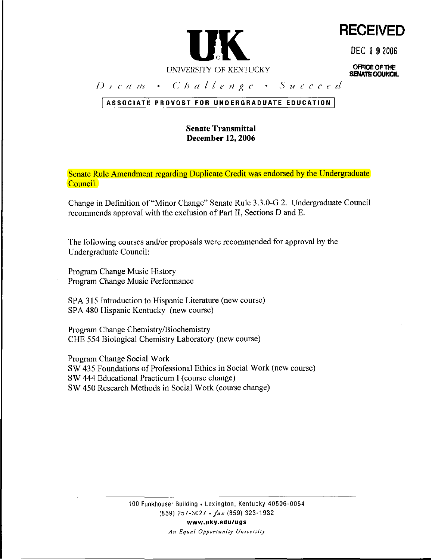

**RECEIVED** 

DEC **1 9** <sup>2006</sup>

**OFFiCE OF THE SENATE COUNCIL** 

Dream · Challenge · Succeed

### ASSOCIATE PROVOST FOR UNDERGRADUATE EDUCATION

### **Senate Transmittal December 12,2006**

Senate Rule Amendment regarding Duplicate Credit was endorsed by the Undergraduate Council.

Change in Definition of "Minor Change" Senate Rule 3.3.0-G 2. Undergraduate Council recommends approval with the exclusion of Part 11, Sections D and E.

The following courses and/or proposals were recommended for approval by the Undergraduate Council:

Program Change Music History Program Change Music Performance

SPA **3** 15 Introduction to Hispanic Literature (new course) SPA 480 Hispanic Kentucky (new course)

Program Change Chemistry/Biochemistry CHE 554 Biological Chemistry Laboratory (new course)

Program Change Social Work SW 435 Foundations of Professional Ethics in Social Work (new course) SW 444 Educational Practicum I (course change) SW 450 Research Methods in Social Work (course change)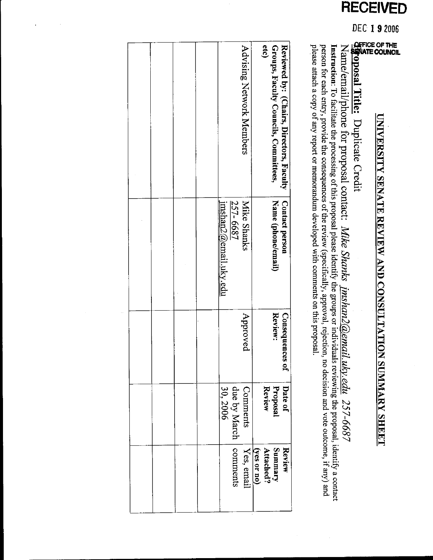### **RECEIVED**

### DEC 192006

## **UNIVERSITY SENATE REVIEW AND CONSULTATION SUMMARY SHEET**

### 

# Name/email/phone for proposal contact: Mike Shanks jmshan2@email.uky.edu 257-6687

**Instruction**: To facilitate the processing of this proposal please identify the groups or individuals reviewing the proposal, identify a contact person for each entry, provide the consequences of the review (specifically, please attach a copy of any report or memorandum developed with comments on this proposal.

| Groups, Faculty Councils, Committees,<br>etc)<br><b>Advising Network Members</b><br><b>Contact person</b><br><b>Mike Shanks</b><br>Name (phone/email)<br>257-6687<br>imshan2@email.uky.edu<br>Approved<br>Review:<br><b>Consequences of</b><br>Review<br>Proposal<br>Comments [Yes, email due by March [comments<br>30,2006<br>Summary<br>Attached?<br>$\frac{(\text{yes or no})}{(\text{yes or no})}$ |  |  |  |  |                                          |
|--------------------------------------------------------------------------------------------------------------------------------------------------------------------------------------------------------------------------------------------------------------------------------------------------------------------------------------------------------------------------------------------------------|--|--|--|--|------------------------------------------|
|                                                                                                                                                                                                                                                                                                                                                                                                        |  |  |  |  | Reviewed by: (Chairs, Directors, Faculty |
|                                                                                                                                                                                                                                                                                                                                                                                                        |  |  |  |  |                                          |
|                                                                                                                                                                                                                                                                                                                                                                                                        |  |  |  |  |                                          |
|                                                                                                                                                                                                                                                                                                                                                                                                        |  |  |  |  | Date of                                  |
|                                                                                                                                                                                                                                                                                                                                                                                                        |  |  |  |  | Review                                   |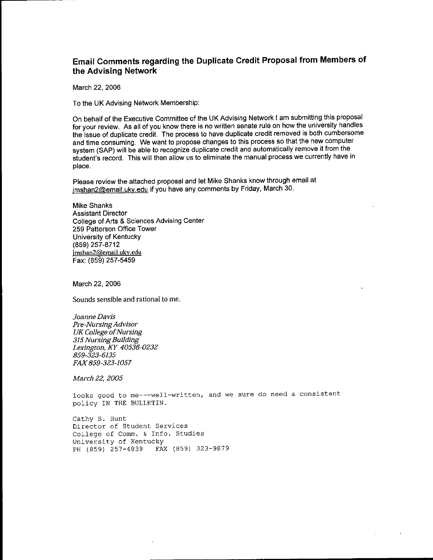### Email Comments regarding the Duplicate Credit Proposal from Members of the Advising Network

March 22, 2006

To the UK Advising Network Membership:

On behalf of the Executive Committee of the UK Advising Network I am submitting this proposal for your review. As all of you know there is no written senate rule on how the university handles the issue of duplicate credit. The process to have duplicate credit removed is both cumbersome and time consuming. We want to propose changes to this process so that the new computer system (SAP) will be able to recognize duplicate credit and automatically remove it from the student's record. This will then allow us to eliminate the manual process we currently have in place.

Please review the attached proposal and let Mike Shanks know through email at imshan2@email.uky.edu if you have any comments by Friday, March 30.

**Mike Shanks Assistant Director** College of Arts & Sciences Advising Center 259 Patterson Office Tower University of Kentucky (859) 257-8712 imshan2@email.uky.edu Fax: (859) 257-5459

March 22, 2006

Sounds sensible and rational to me.

Joanne Davis **Pre-Nursing Advisor UK College of Nursing** 315 Nursing Building Lexington, KY 40536-0232 859-323-6135 FAX 859-323-1057

March 22, 2005

looks good to me---well-written, and we sure do need a consistent policy IN THE BULLETIN.

Cathy S. Hunt Director of Student Services College of Comm. & Info. Studies University of Kentucky PH (859) 257-4839 FAX (859) 323-9879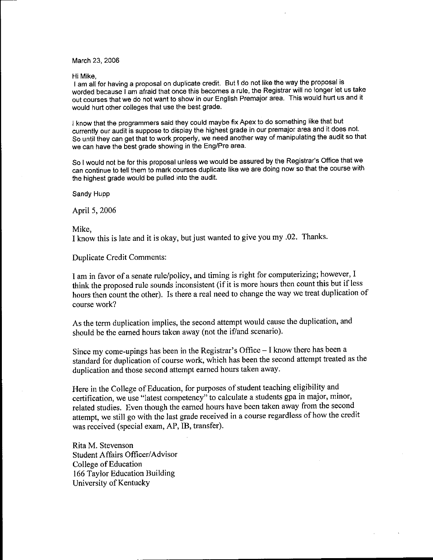### March 23, 2006

Hi Mike.

I am all for having a proposal on duplicate credit. But I do not like the way the proposal is worded because I am afraid that once this becomes a rule, the Registrar will no longer let us take out courses that we do not want to show in our English Premajor area. This would hurt us and it would hurt other colleges that use the best grade.

I know that the programmers said they could maybe fix Apex to do something like that but currently our audit is suppose to display the highest grade in our premajor area and it does not. So until they can get that to work properly, we need another way of manipulating the audit so that we can have the best grade showing in the Eng/Pre area.

So I would not be for this proposal unless we would be assured by the Registrar's Office that we can continue to tell them to mark courses duplicate like we are doing now so that the course with the highest grade would be pulled into the audit.

Sandy Hupp

April 5, 2006

Mike,

I know this is late and it is okay, but just wanted to give you my .02. Thanks.

Duplicate Credit Comments:

I am in favor of a senate rule/policy, and timing is right for computerizing; however, I think the proposed rule sounds inconsistent (if it is more hours then count this but if less hours then count the other). Is there a real need to change the way we treat duplication of course work?

As the term duplication implies, the second attempt would cause the duplication, and should be the earned hours taken away (not the if/and scenario).

Since my come-upings has been in the Registrar's Office - I know there has been a standard for duplication of course work, which has been the second attempt treated as the duplication and those second attempt earned hours taken away.

Here in the College of Education, for purposes of student teaching eligibility and certification, we use "latest competency" to calculate a students gpa in major, minor, related studies. Even though the earned hours have been taken away from the second attempt, we still go with the last grade received in a course regardless of how the credit was received (special exam, AP, IB, transfer).

Rita M. Stevenson Student Affairs Officer/Advisor College of Education 166 Taylor Education Building University of Kentucky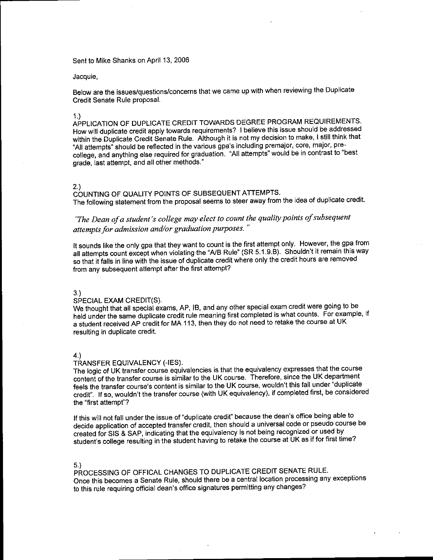Sent to Mike Shanks on April 13, 2006

Jacquie,

Below are the issues/questions/concerns that we came up with when reviewing the Duplicate Credit Senate Rule proposal.

 $1.)$ 

APPLICATION OF DUPLICATE CREDIT TOWARDS DEGREE PROGRAM REQUIREMENTS. How will duplicate credit apply towards requirements? I believe this issue should be addressed within the Duplicate Credit Senate Rule. Although it is not my decision to make, I still think that "All attempts" should be reflected in the various gpa's including premajor, core, major, precollege, and anything else required for graduation. "All attempts" would be in contrast to "best grade. last attempt, and all other methods."

### $2.)$

COUNTING OF QUALITY POINTS OF SUBSEQUENT ATTEMPTS. The following statement from the proposal seems to steer away from the idea of duplicate credit.

### "The Dean of a student's college may elect to count the quality points of subsequent attempts for admission and/or graduation purposes."

It sounds like the only gpa that they want to count is the first attempt only. However, the gpa from all attempts count except when violating the "A/B Rule" (SR 5.1.9.B). Shouldn't it remain this way so that it falls in line with the issue of duplicate credit where only the credit hours are removed from any subsequent attempt after the first attempt?

### $3)$

### SPECIAL EXAM CREDIT(S).

We thought that all special exams, AP, IB, and any other special exam credit were going to be held under the same duplicate credit rule meaning first completed is what counts. For example, if a student received AP credit for MA 113, then they do not need to retake the course at UK resulting in duplicate credit.

 $4.)$ 

### TRANSFER EQUIVALENCY (-IES).

The logic of UK transfer course equivalencies is that the equivalency expresses that the course content of the transfer course is similar to the UK course. Therefore, since the UK department feels the transfer course's content is similar to the UK course, wouldn't this fall under "duplicate credit". If so, wouldn't the transfer course (with UK equivalency), if completed first, be considered the "first attempt"?

If this will not fall under the issue of "duplicate credit" because the dean's office being able to decide application of accepted transfer credit, then should a universal code or pseudo course be created for SIS & SAP, indicating that the equivalency is not being recognized or used by student's college resulting in the student having to retake the course at UK as if for first time?

### $5.$

PROCESSING OF OFFICAL CHANGES TO DUPLICATE CREDIT SENATE RULE. Once this becomes a Senate Rule, should there be a central location processing any exceptions to this rule requiring official dean's office signatures permitting any changes?